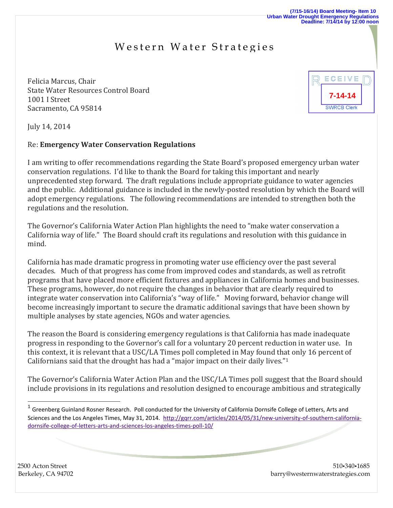## Western Water Strategies

Felicia Marcus, Chair State Water Resources Control Board 1001 I Street Sacramento, CA 95814



July 14, 2014

## Re: **Emergency Water Conservation Regulations**

I am writing to offer recommendations regarding the State Board's proposed emergency urban water conservation regulations. I'd like to thank the Board for taking this important and nearly unprecedented step forward. The draft regulations include appropriate guidance to water agencies and the public. Additional guidance is included in the newly-posted resolution by which the Board will adopt emergency regulations. The following recommendations are intended to strengthen both the regulations and the resolution.

The Governor's California Water Action Plan highlights the need to "make water conservation a California way of life." The Board should craft its regulations and resolution with this guidance in mind.

California has made dramatic progress in promoting water use efficiency over the past several decades. Much of that progress has come from improved codes and standards, as well as retrofit programs that have placed more efficient fixtures and appliances in California homes and businesses. These programs, however, do not require the changes in behavior that are clearly required to integrate water conservation into California's "way of life." Moving forward, behavior change will become increasingly important to secure the dramatic additional savings that have been shown by multiple analyses by state agencies, NGOs and water agencies.

The reason the Board is considering emergency regulations is that California has made inadequate progress in responding to the Governor's call for a voluntary 20 percent reduction in water use. In this context, it is relevant that a USC/LA Times poll completed in May found that only 16 percent of Californians said that the drought has had a "major impact on their daily lives."<sup>1</sup>

The Governor's California Water Action Plan and the USC/LA Times poll suggest that the Board should include provisions in its regulations and resolution designed to encourage ambitious and strategically

 $\overline{a}$ 

2500 Acton Street 510.340.1685 Berkeley, CA 94702 barry@westernwaterstrategies.com

 $^1$  Greenberg Guinland Rosner Research. Poll conducted for the University of California Dornsife College of Letters, Arts and Sciences and the Los Angeles Times, May 31, 2014. [http://gqrr.com/articles/2014/05/31/new-university-of-southern-california](http://gqrr.com/articles/2014/05/31/new-university-of-southern-california-dornsife-college-of-letters-arts-and-sciences-los-angeles-times-poll-10/)[dornsife-college-of-letters-arts-and-sciences-los-angeles-times-poll-10/](http://gqrr.com/articles/2014/05/31/new-university-of-southern-california-dornsife-college-of-letters-arts-and-sciences-los-angeles-times-poll-10/)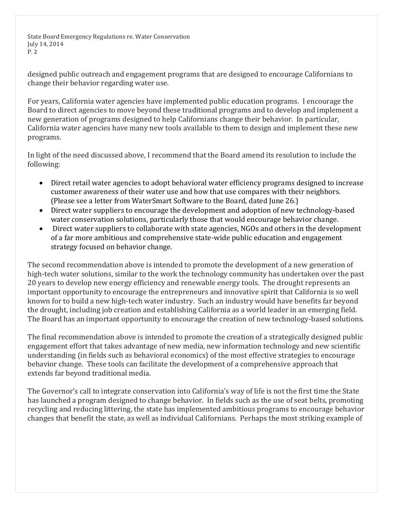State Board Emergency Regulations re. Water Conservation July 14, 2014 P. 2

designed public outreach and engagement programs that are designed to encourage Californians to change their behavior regarding water use.

For years, California water agencies have implemented public education programs. I encourage the Board to direct agencies to move beyond these traditional programs and to develop and implement a new generation of programs designed to help Californians change their behavior. In particular, California water agencies have many new tools available to them to design and implement these new programs.

In light of the need discussed above, I recommend that the Board amend its resolution to include the following:

- Direct retail water agencies to adopt behavioral water efficiency programs designed to increase customer awareness of their water use and how that use compares with their neighbors. (Please see a letter from WaterSmart Software to the Board, dated June 26.)
- Direct water suppliers to encourage the development and adoption of new technology-based water conservation solutions, particularly those that would encourage behavior change.
- Direct water suppliers to collaborate with state agencies, NGOs and others in the development of a far more ambitious and comprehensive state-wide public education and engagement strategy focused on behavior change.

The second recommendation above is intended to promote the development of a new generation of high-tech water solutions, similar to the work the technology community has undertaken over the past 20 years to develop new energy efficiency and renewable energy tools. The drought represents an important opportunity to encourage the entrepreneurs and innovative spirit that California is so well known for to build a new high-tech water industry. Such an industry would have benefits far beyond the drought, including job creation and establishing California as a world leader in an emerging field. The Board has an important opportunity to encourage the creation of new technology-based solutions.

The final recommendation above is intended to promote the creation of a strategically designed public engagement effort that takes advantage of new media, new information technology and new scientific understanding (in fields such as behavioral economics) of the most effective strategies to encourage behavior change. These tools can facilitate the development of a comprehensive approach that extends far beyond traditional media.

The Governor's call to integrate conservation into California's way of life is not the first time the State has launched a program designed to change behavior. In fields such as the use of seat belts, promoting recycling and reducing littering, the state has implemented ambitious programs to encourage behavior changes that benefit the state, as well as individual Californians. Perhaps the most striking example of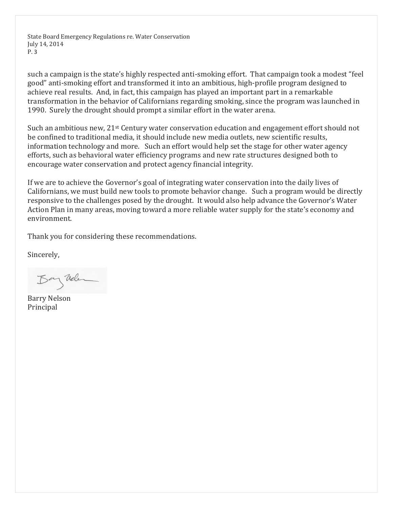State Board Emergency Regulations re. Water Conservation July 14, 2014 P. 3

such a campaign is the state's highly respected anti-smoking effort. That campaign took a modest "feel good" anti-smoking effort and transformed it into an ambitious, high-profile program designed to achieve real results. And, in fact, this campaign has played an important part in a remarkable transformation in the behavior of Californians regarding smoking, since the program was launched in 1990. Surely the drought should prompt a similar effort in the water arena.

Such an ambitious new,  $21^{st}$  Century water conservation education and engagement effort should not be confined to traditional media, it should include new media outlets, new scientific results, information technology and more. Such an effort would help set the stage for other water agency efforts, such as behavioral water efficiency programs and new rate structures designed both to encourage water conservation and protect agency financial integrity.

If we are to achieve the Governor's goal of integrating water conservation into the daily lives of Californians, we must build new tools to promote behavior change. Such a program would be directly responsive to the challenges posed by the drought. It would also help advance the Governor's Water Action Plan in many areas, moving toward a more reliable water supply for the state's economy and environment.

Thank you for considering these recommendations.

Sincerely,

Bay Vielen

Barry Nelson Principal